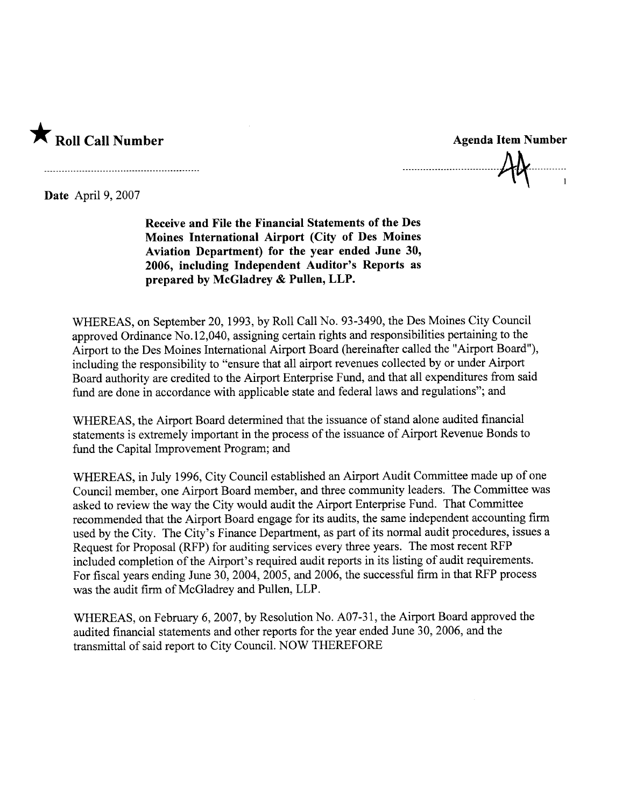

Date April 9, 2007

Receive and File the Financial Statements of the Des Moines International Airport (City of Des Moines Aviation Department) for the year ended June 30, 2006, including Independent Auditor's Reports as prepared by McGladrey & Pullen, LLP.

WHEREAS, on September 20, 1993, by Roll Call No. 93-3490, the Des Moines City Council approved Ordinance No. 12,040, assigning certain rights and responsibilities pertaining to the Airport to the Des Moines International Airport Board (hereinafter called the "Airport Board"), including the responsibility to "ensure that all airport revenues collected by or under Airport Board authority are credited to the Airport Enterprise Fund, and that all expenditures from said fud are done in accordance with applicable state and federal laws and regulations"; and

WHEREAS, the Airport Board determined that the issuance of stand alone audited financial statements is extremely important in the process of the issuance of Airport Revenue Bonds to fud the Capital Improvement Program; and

WHEREAS, in July 1996, City Council established an Airport Audit Committee made up of one Council member, one Airport Board member, and three community leaders. The Committee was asked to review the way the City would audit the Airport Enterprise Fund. That Committee recommended that the Airport Board engage for its audits, the same independent accounting firm used by the City. The City's Finance Deparment, as part of its normal audit procedures, issues a Request for Proposal (RFP) for auditing services every three years. The most recent RFP included completion of the Airport's required audit reports in its listing of audit requirements. For fiscal years ending June 30, 2004, 2005, and 2006, the successful firm in that RFP process was the audit firm of McGladrey and Pullen, LLP.

WHEREAS, on February 6, 2007, by Resolution No. A07-31, the Airport Board approved the audited financial statements and other reports for the year ended June 30, 2006, and the transmittal of said report to City Council. NOW THEREFORE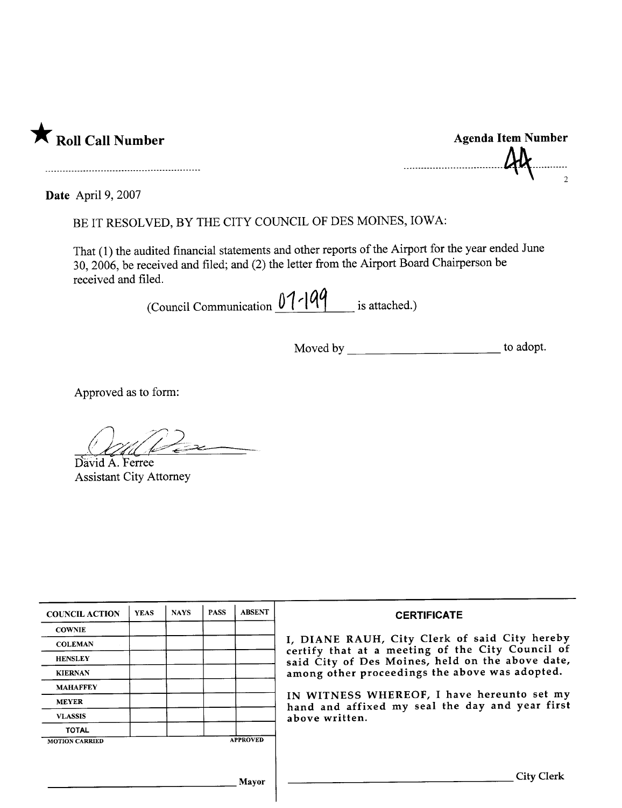

| <b>Agenda Item Number</b> |  |
|---------------------------|--|
| $A\&$                     |  |
|                           |  |

Date April 9, 2007

BE IT RESOLVED, BY THE CITY COUNCIL OF DES MOINES, IOWA:

That (1) the audited financial statements and other reports of the Airport for the year ended June 30, 2006, be received and filed; and (2) the letter from the Airport Board Chairperson be received and filed.

(Council Communication  $01-199$  is attached.)

Approved as to form:

Z

David A. Ferree **Assistant City Attorney** 

| <b>COUNCIL ACTION</b> | <b>YEAS</b> | <b>NAYS</b> | <b>PASS</b> | <b>ABSENT</b>   | <b>CERTIFICATE</b>                                                                                |
|-----------------------|-------------|-------------|-------------|-----------------|---------------------------------------------------------------------------------------------------|
| <b>COWNIE</b>         |             |             |             |                 |                                                                                                   |
| <b>COLEMAN</b>        |             |             |             |                 | I. DIANE RAUH, City Clerk of said City hereby<br>certify that at a meeting of the City Council of |
| <b>HENSLEY</b>        |             |             |             |                 | said City of Des Moines, held on the above date,                                                  |
| <b>KIERNAN</b>        |             |             |             |                 | among other proceedings the above was adopted.                                                    |
| <b>MAHAFFEY</b>       |             |             |             |                 |                                                                                                   |
| <b>MEYER</b>          |             |             |             |                 | IN WITNESS WHEREOF, I have hereunto set my<br>hand and affixed my seal the day and year first     |
| <b>VLASSIS</b>        |             |             |             |                 | above written.                                                                                    |
| <b>TOTAL</b>          |             |             |             |                 |                                                                                                   |
| <b>MOTION CARRIED</b> |             |             |             | <b>APPROVED</b> |                                                                                                   |
|                       |             |             |             |                 |                                                                                                   |
|                       |             |             |             | Mayor           | <b>City Clerk</b>                                                                                 |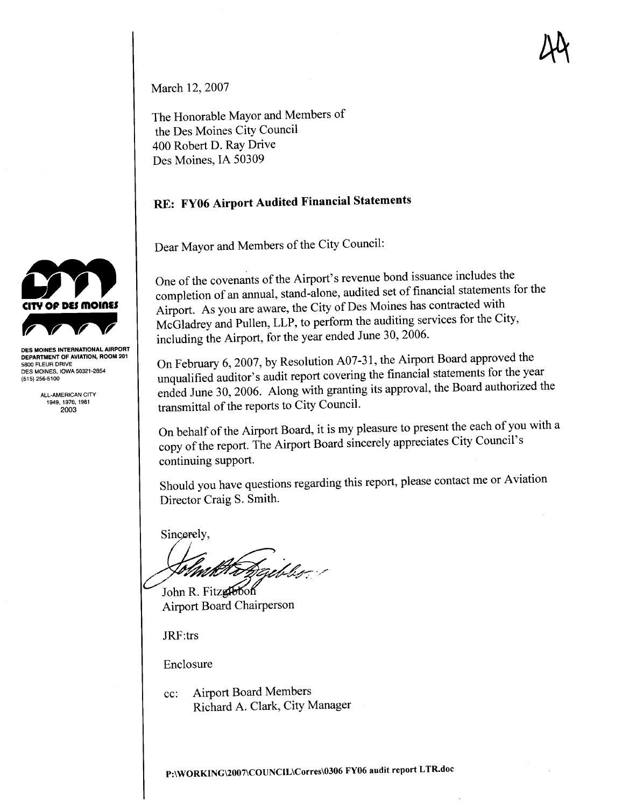M

March 12, 2007

The Honorable Mayor and Members of the Des Moines City Council 400 Robert D. Ray Drive Des Moines, IA 50309

#### RE: FY06 Airport Audited Financial Statements

Dear Mayor and Members of the City Council:

One of the covenants of the Airport's revenue bond issuance includes the completion of an annual, stand-alone, audited set of financial statements for the Airport. As you are aware, the City of Des Moines has contracted with McGladrey and Pullen, LLP, to perform the auditing services for the City, including the Airport, for the year ended June 30, 2006.

On February 6, 2007, by Resolution A07-3 1, the Airport Board approved the unqualified auditor's audit report covering the financial statements for the year ended June 30, 2006. Along with granting its approval, the Board authorized the transmittal of the reports to City CounciL.

On behalf of the Airport Board, it is my pleasure to present the each of you with a copy of the report. The Airport Board sincerely appreciates City Council's continuing support.

Should you have questions regarding this report, please contact me or Aviation Director Craig S. Smith.

Sincerely,

John R. Fitzglobon

Airport Board Chairperson

JRF:trs

Enclosure

cc: Airport Board Members Richard A. Clark, City Manager



DED MONDO INTERNATION, ROOM 201 5800 FLEUR DRIVE DES MOINES, IOWA 50321-2854 (515) 256-5100

ALL-AMERICAN CITY 1949.1976.1981 2003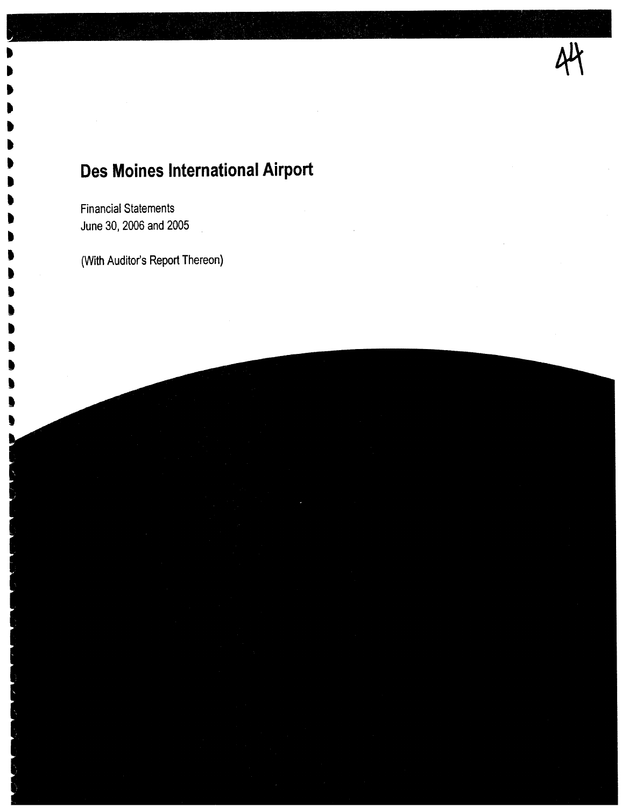# 44

## Des Moines International Airport

Financial Statements June 30,2006 and 2005

. . .

~ ~ . . .

" **.** 

" " " .

" . .

" " " " (With Auditor's Report Thereon)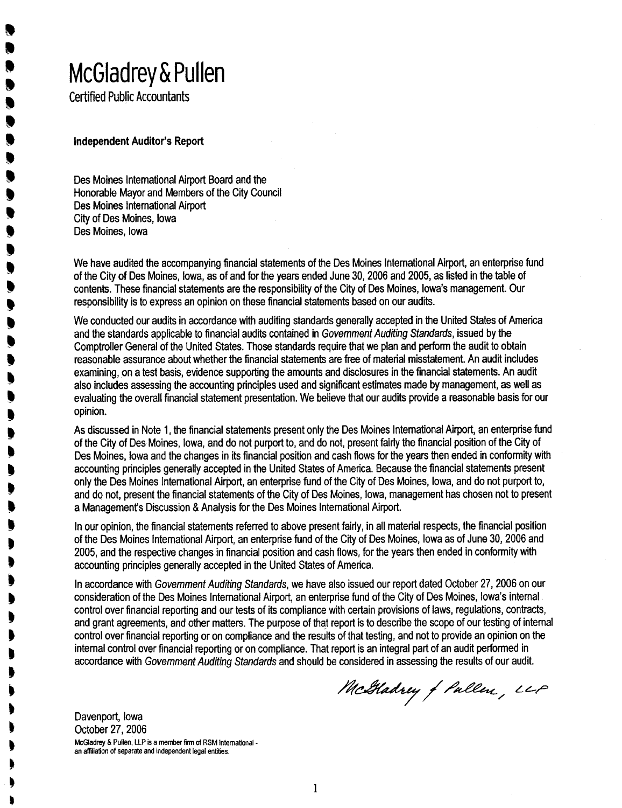# McGladrey & Pullen

Certified Public Accountants

**D** .<br>.<br>. .<br>. .<br>.<br>. .<br>. .<br>. .<br>. .<br>! .<br>. .<br>. t<br>V .<br>! .<br>. .<br>! .<br>? J<br>J **.** ,<br>!

" ,

" **y** t t , t . . . .

> ~ . t t . t . . . t l ~ ,

Independent Auditor's Report

Des Moines International Airport Board and the Honorable Mayor and Members of the City Council Des Moines International Airport City of Des Moines, Iowa Des Moines, Iowa

We have audited the accompanying financial statements of the Des Moines lritemational Airport, an enterprise fund of the City of Des Moines, Iowa, as of and for the years ended June 30, 2006 and 2005, as listed in the table of contents. These financial statements are the responsibilty of the City of Des Moines, Iowa's management. Our responsibility is to express an opinion on these financial statements based on our audits.

We conducted our audits in accordance with auditing standards generally accepted in the United States of America and the standards applicable to financial audits contained in Government Auditing Standards, issued by the Comptroller General of the United States. Those standards require that we plan and perform the audit to obtain reasonable assurance about whether the financial statements are free of material misstatement. An audit includes examining, on a test basis, evidence supporting the amounts and disclosures in the financial statements. An audit also includes assessing the accounting principles used and significant estimates made by management, as well as evaluating the overall financial statement presentation. We believe that our audits provide a reasonable basis for our opinion.

As discussed in Note 1, the financial statements present only the Des Moines International Airport, an enterprise fund of the City of Des Moines, Iowa, and do not purport to, and do not, present fairly the financial position of the City of Des Moines, Iowa and the changes in its financial position and cash flows for the years then ended in conformity with accounting principles generally accepted in the United States of America. Because the financial statements present only the Des Moines International Airport, an enterprise fund of the City of Des Moines, Iowa, and do not purport to, and do not, present the financial statements of the City of Des Moines, Iowa, management has chosen not to present a Management's Discussion & Analysis for the Des Moines International Airport.

In our opinion, the financial statements referred to above present fairly, in all material respets, the financial position of the Des Moines International Airport, an enterprise fund of the City of Des Moines, Iowa as of June 30, 2006 and 2005, and the respective changes in financial position and cash flows, for the years then ended in conformity with accounting principles generally accepted in the United States of America.

In accordance with Government Auditing Standards, we have also issued our report dated October 27, 2006 on our consideration of the Des Moines International Airport, an enterprise fund of the City of Des Moines, Iowa's internal. control over financial reporting and our tests of its compliance with certain provisions of laws, regulations, contracts, and grant agreements, and other matters. The purpse of that report is to describe the scope of our testing of internal control over financial reporting or on compliance and the results of that testing, and not to provide an opinion on the internal control over financial reporting or on compliance. That report is an integral part of an audit performed in accordance wtth Government Auditing Standards and should be considered in assessing the results of our audit.

McGladrey of Pullen, LLP

Davenport, Iowa October 27, 2006 McGladrey & Pullen, LLP is a member firm of RSM Intemationalan affiliation of separate and independent legal entities.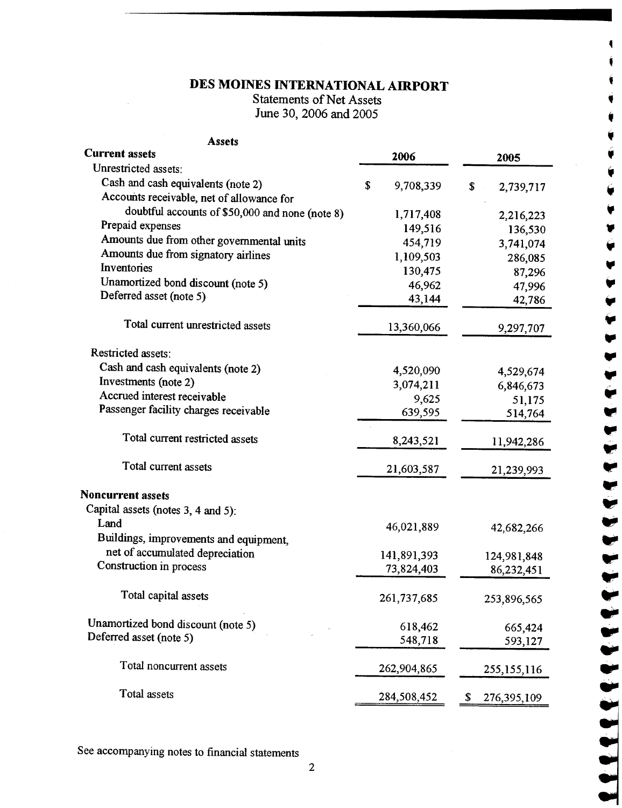## DES MOINES INTERNATIONAL AIRPORT

.

~ ,

,

.,

..

..

..

.......

Statements of Net Assets . June 30, 2006 and 2005

| <b>Assets</b>                                                                   |                |                   |
|---------------------------------------------------------------------------------|----------------|-------------------|
| <b>Current assets</b><br>Unrestricted assets:                                   | 2006           | 2005              |
|                                                                                 |                |                   |
| Cash and cash equivalents (note 2)<br>Accounts receivable, net of allowance for | S<br>9,708,339 | \$<br>2,739,717   |
| doubtful accounts of \$50,000 and none (note 8)                                 | 1,717,408      | 2,216,223         |
| Prepaid expenses                                                                | 149,516        | 136,530           |
| Amounts due from other governmental units                                       | 454,719        | 3,741,074         |
| Amounts due from signatory airlines                                             | 1,109,503      | 286,085           |
| Inventories                                                                     | 130,475        | 87,296            |
| Unamortized bond discount (note 5)                                              | 46,962         | 47,996            |
| Deferred asset (note 5)                                                         | 43,144         | 42,786            |
| Total current unrestricted assets                                               | 13,360,066     | 9,297,707         |
| Restricted assets:                                                              |                |                   |
| Cash and cash equivalents (note 2)                                              | 4,520,090      | 4,529,674         |
| Investments (note 2)                                                            | 3,074,211      | 6,846,673         |
| Accrued interest receivable                                                     | 9,625          | 51,175            |
| Passenger facility charges receivable                                           | 639,595        | 514,764           |
| Total current restricted assets                                                 | 8,243,521      | 11,942,286        |
| Total current assets                                                            | 21,603,587     | 21,239,993        |
| <b>Noncurrent assets</b>                                                        |                |                   |
| Capital assets (notes 3, 4 and 5):                                              |                |                   |
| Land<br>Buildings, improvements and equipment,                                  | 46,021,889     | 42,682,266        |
| net of accumulated depreciation                                                 | 141,891,393    | 124,981,848       |
| Construction in process                                                         | 73,824,403     | 86,232,451        |
| Total capital assets                                                            | 261,737,685    | 253,896,565       |
| Unamortized bond discount (note 5)                                              | 618,462        | 665,424           |
| Deferred asset (note 5)                                                         | 548,718        | 593,127           |
| Total noncurrent assets                                                         | 262,904,865    | 255, 155, 116     |
| Total assets                                                                    | 284,508,452    | \$<br>276,395,109 |

See accompanying notes to financial statements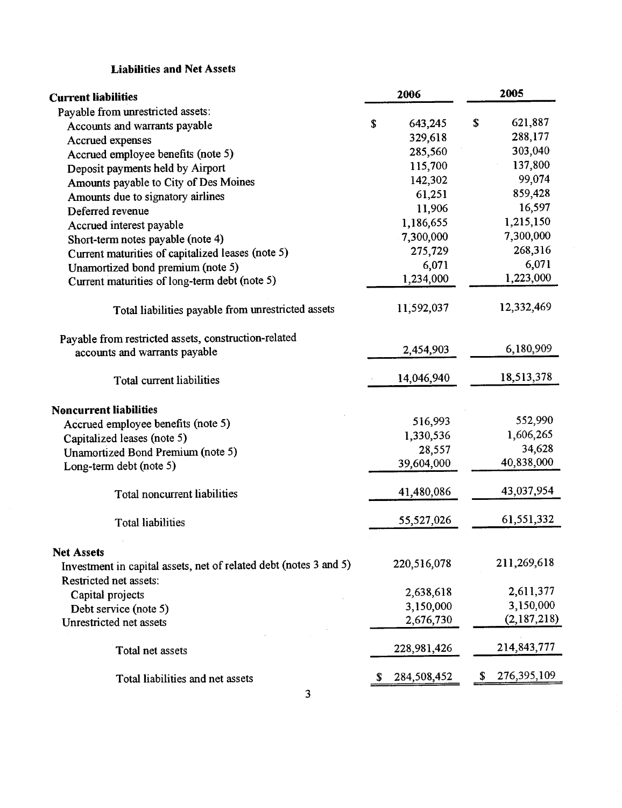#### Liabilities and Net Assets

| <b>Current liabilities</b>                                                                  | 2006          | 2005                |
|---------------------------------------------------------------------------------------------|---------------|---------------------|
| Payable from unrestricted assets:                                                           |               |                     |
| Accounts and warrants payable                                                               | 643,245<br>\$ | \$<br>621,887       |
| Accrued expenses                                                                            | 329,618       | 288,177             |
| Accrued employee benefits (note 5)                                                          | 285,560       | 303,040             |
| Deposit payments held by Airport                                                            | 115,700       | 137,800             |
| Amounts payable to City of Des Moines                                                       | 142,302       | 99,074              |
| Amounts due to signatory airlines                                                           | 61,251        | 859,428             |
| Deferred revenue                                                                            | 11,906        | 16,597              |
| Accrued interest payable                                                                    | 1,186,655     | 1,215,150           |
| Short-term notes payable (note 4)                                                           | 7,300,000     | 7,300,000           |
| Current maturities of capitalized leases (note 5)                                           | 275,729       | 268,316             |
| Unamortized bond premium (note 5)                                                           | 6,071         | 6,071               |
| Current maturities of long-term debt (note 5)                                               | 1,234,000     | 1,223,000           |
| Total liabilities payable from unrestricted assets                                          | 11,592,037    | 12,332,469          |
| Payable from restricted assets, construction-related                                        |               |                     |
| accounts and warrants payable                                                               | 2,454,903     | 6,180,909           |
| Total current liabilities                                                                   | 14,046,940    | 18,513,378          |
| <b>Noncurrent liabilities</b>                                                               |               |                     |
| Accrued employee benefits (note 5)                                                          | 516,993       | 552,990             |
| Capitalized leases (note 5)                                                                 | 1,330,536     | 1,606,265           |
| Unamortized Bond Premium (note 5)                                                           | 28,557        | 34,628              |
| Long-term debt (note 5)                                                                     | 39,604,000    | 40,838,000          |
| Total noncurrent liabilities                                                                | 41,480,086    | 43,037,954          |
| <b>Total liabilities</b>                                                                    | 55,527,026    | 61, 551, 332        |
| <b>Net Assets</b>                                                                           |               |                     |
| Investment in capital assets, net of related debt (notes 3 and 5)<br>Restricted net assets: | 220,516,078   | 211,269,618         |
| Capital projects                                                                            | 2,638,618     | 2,611,377           |
| Debt service (note 5)                                                                       | 3,150,000     | 3,150,000           |
| Unrestricted net assets                                                                     | 2,676,730     | (2,187,218)         |
| Total net assets                                                                            | 228,981,426   | 214,843,777         |
| Total liabilities and net assets                                                            | 284,508,452   | 276, 395, 109<br>\$ |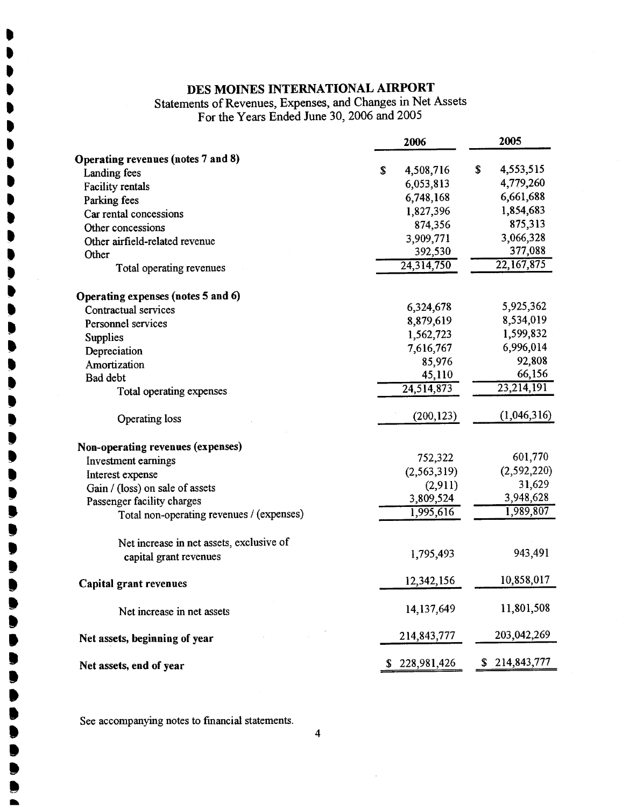#### DES MOINES INTERNATIONAL AIRPORT

**y** .<br>1 .

It

,<br>, **.** 

**. .**<br>. **.**<br>. **.** 

# Statements of Revenues, Expenses, and Changes in Net Assets<br>For the Years Ended June 30, 2006 and 2005

|                                                | 2006            | 2005              |
|------------------------------------------------|-----------------|-------------------|
| Operating revenues (notes 7 and 8)             |                 |                   |
| Landing fees                                   | \$<br>4,508,716 | \$<br>4,553,515   |
| <b>Facility rentals</b>                        | 6,053,813       | 4,779,260         |
| Parking fees                                   | 6,748,168       | 6,661,688         |
| Car rental concessions                         | 1,827,396       | 1,854,683         |
| Other concessions                              | 874,356         | 875,313           |
| D<br>Other airfield-related revenue            | 3,909,771       | 3,066,328         |
| D<br>Other                                     | 392,530         | 377,088           |
| Total operating revenues<br>▶                  | 24,314,750      | 22, 167, 875      |
| ♦<br>Operating expenses (notes 5 and 6)        |                 |                   |
| d<br>Contractual services                      | 6,324,678       | 5,925,362         |
| Personnel services                             | 8,879,619       | 8,534,019         |
| þ<br>Supplies                                  | 1,562,723       | 1,599,832         |
| Depreciation                                   | 7,616,767       | 6,996,014         |
| b<br>Amortization                              | 85,976          | 92,808            |
| Bad debt                                       | 45,110          | 66,156            |
| Total operating expenses<br>●                  | 24,514,873      | 23,214,191        |
| Operating loss<br>●                            | (200, 123)      | (1,046,316)       |
| ◗<br>Non-operating revenues (expenses)         |                 |                   |
| ▶<br>Investment earnings                       | 752,322         | 601,770           |
| ◗<br>Interest expense                          | (2, 563, 319)   | (2, 592, 220)     |
| Gain / (loss) on sale of assets                | (2,911)         | 31,629            |
| D<br>Passenger facility charges                | 3,809,524       | 3,948,628         |
| þ<br>Total non-operating revenues / (expenses) | 1,995,616       | 1,989,807         |
| D<br>Net increase in net assets, exclusive of  |                 |                   |
| þ<br>capital grant revenues                    | 1,795,493       | 943,491           |
| <b>Capital grant revenues</b>                  | 12,342,156      | 10,858,017        |
| Net increase in net assets                     | 14,137,649      | 11,801,508        |
| Net assets, beginning of year                  | 214,843,777     | 203,042,269       |
| Net assets, end of year                        | \$228,981,426   | \$<br>214,843,777 |

**SEP 2020**<br>See accompanying notes to financial statements. See accompanying notes to financial statements.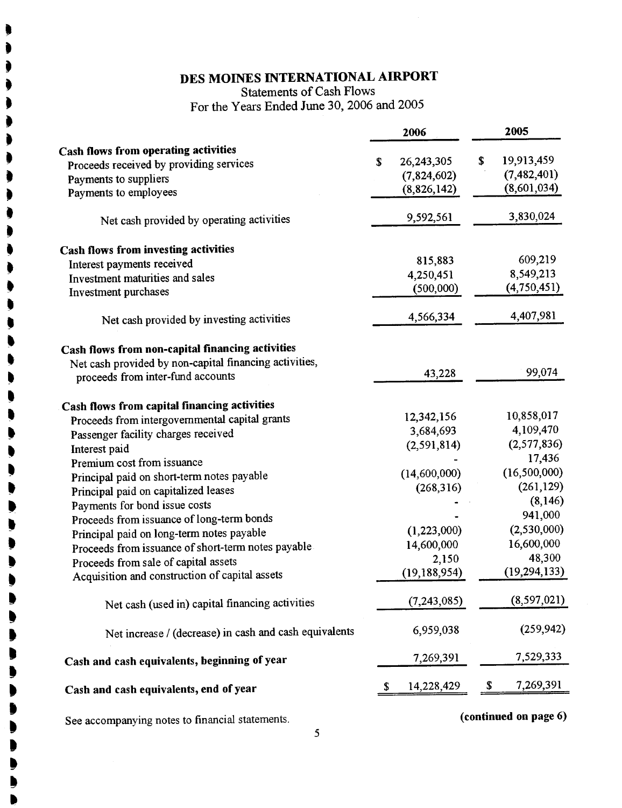## DES MOINES INTERNATIONAL AIRPORT

Statements of Cash Flows For the Years Ended June 30, 2006 and 2005

|                                                        | 2006               | 2005                  |
|--------------------------------------------------------|--------------------|-----------------------|
| <b>Cash flows from operating activities</b>            |                    |                       |
| Proceeds received by providing services                | 26, 243, 305<br>\$ | 19,913,459<br>\$      |
| Payments to suppliers                                  | (7,824,602)        | (7,482,401)           |
| Payments to employees                                  | (8,826,142)        | (8,601,034)           |
| Net cash provided by operating activities              | 9,592,561          | 3,830,024             |
| <b>Cash flows from investing activities</b>            |                    |                       |
| Interest payments received                             | 815,883            | 609,219               |
| Investment maturities and sales                        | 4,250,451          | 8,549,213             |
| Investment purchases                                   | (500,000)          | (4,750,451)           |
| Net cash provided by investing activities              | 4,566,334          | 4,407,981             |
| Cash flows from non-capital financing activities       |                    |                       |
| Net cash provided by non-capital financing activities, |                    |                       |
| proceeds from inter-fund accounts                      | 43,228             | 99,074                |
| Cash flows from capital financing activities           |                    |                       |
| Proceeds from intergovernmental capital grants         | 12,342,156         | 10,858,017            |
| Passenger facility charges received                    | 3,684,693          | 4,109,470             |
| Interest paid                                          | (2, 591, 814)      | (2,577,836)           |
| Premium cost from issuance                             |                    | 17,436                |
| Principal paid on short-term notes payable             | (14,600,000)       | (16,500,000)          |
| Principal paid on capitalized leases                   | (268, 316)         | (261, 129)            |
| Payments for bond issue costs                          |                    | (8,146)               |
| Proceeds from issuance of long-term bonds              |                    | 941,000               |
| Principal paid on long-term notes payable              | (1,223,000)        | (2,530,000)           |
| Proceeds from issuance of short-term notes payable     | 14,600,000         | 16,600,000            |
| Proceeds from sale of capital assets                   | 2,150              | 48,300                |
| Acquisition and construction of capital assets         | (19, 188, 954)     | (19, 294, 133)        |
| Net cash (used in) capital financing activities        | (7, 243, 085)      | (8,597,021)           |
| Net increase / (decrease) in cash and cash equivalents | 6,959,038          | (259, 942)            |
| Cash and cash equivalents, beginning of year           | 7,269,391          | 7,529,333             |
| Cash and cash equivalents, end of year                 | 14,228,429<br>S.   | 7,269,391<br>\$       |
| See accompanying notes to financial statements.        |                    | (continued on page 6) |

. . **)** t

.

**.** .

. .

.

l) l) ,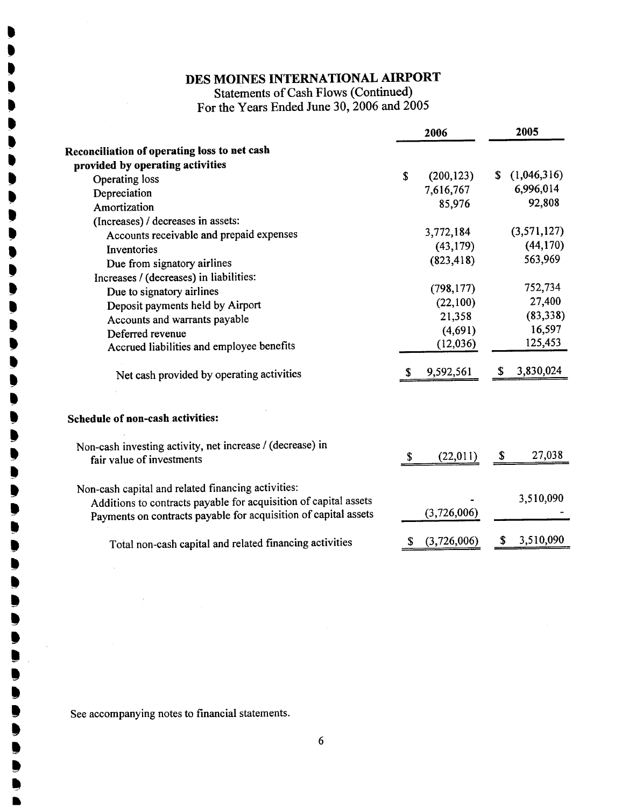## DES MOINS INTERNATIONAL AIRPORT

Statements of Cash Flows (Continued) For the Years Ended June 30, 2006 and 2005

|                                                                  |    | 2006        |    | 2005        |
|------------------------------------------------------------------|----|-------------|----|-------------|
| Reconciliation of operating loss to net cash                     |    |             |    |             |
| provided by operating activities                                 |    |             |    |             |
| Operating loss                                                   | \$ | (200, 123)  | S. | (1,046,316) |
| Depreciation                                                     |    | 7,616,767   |    | 6,996,014   |
| Amortization                                                     |    | 85,976      |    | 92,808      |
| (Increases) / decreases in assets:                               |    |             |    |             |
| Accounts receivable and prepaid expenses                         |    | 3,772,184   |    | (3,571,127) |
| Inventories                                                      |    | (43, 179)   |    | (44, 170)   |
| Due from signatory airlines                                      |    | (823, 418)  |    | 563,969     |
| Increases / (decreases) in liabilities:                          |    |             |    |             |
| Due to signatory airlines                                        |    | (798, 177)  |    | 752,734     |
| Deposit payments held by Airport                                 |    | (22,100)    |    | 27,400      |
| Accounts and warrants payable                                    |    | 21,358      |    | (83,338)    |
| Deferred revenue                                                 |    | (4,691)     |    | 16,597      |
| Accrued liabilities and employee benefits                        |    | (12,036)    |    | 125,453     |
| Net cash provided by operating activities                        |    | 9,592,561   | S  | 3,830,024   |
| <b>Schedule of non-cash activities:</b>                          |    |             |    |             |
| Non-cash investing activity, net increase / (decrease) in        |    |             |    |             |
| fair value of investments                                        | S  | (22,011)    | S  | 27,038      |
| Non-cash capital and related financing activities:               |    |             |    |             |
| Additions to contracts payable for acquisition of capital assets |    |             |    | 3,510,090   |
| Payments on contracts payable for acquisition of capital assets  |    | (3,726,006) |    |             |
|                                                                  |    | (3,726,006) | \$ | 3,510,090   |
| Total non-cash capital and related financing activities          | Ъ  |             |    |             |

See accompanying notes to financial statements.

. .<br>!

y . .<br>! .<br>! j<br>D .<br>D .<br>! t<br>P .<br>! .<br>! ,<br>) ,<br>)

> I) I) I) ,<br>)<br>.

I) I) I) ,<br>! ,<br>!

I) I) I) ,<br>, ,<br>,

I) .. .<br>. ,<br>, ,<br>!

I) ,<br>, ,<br>)

l) I) ,<br>) ,<br>, ,<br>,<br>, J<br>D .<br>.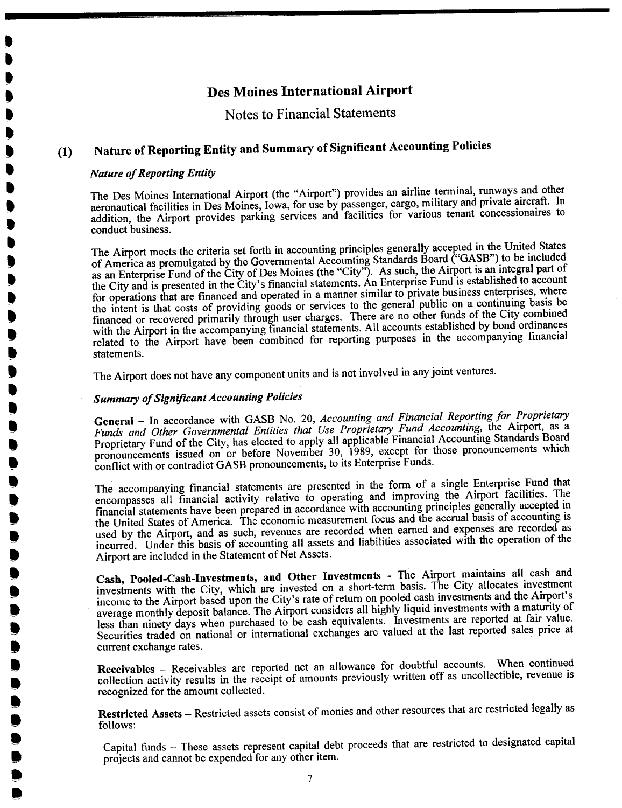#### Notes to Financial Statements

## (1) Nature of Reporting Entity and Summary of Signifcant Accounting Policies

#### Nature of Reporting Entity

. .<br>! t .<br>! .<br>. .<br>! ,<br>)<br>. .<br>! .<br>! .<br>. .<br>! .<br>! ,<br>, .<br>! .<br>! ,<br>! ,<br>! ,<br>) ,<br>, ,<br>! **.** .<br>! ,<br>.<br>. **. .**<br>. y<br>D **.** ,<br>,<br>, **.**<br>. .<br>! .<br>. **.**<br>. **.**<br>. **.**<br>. **.**<br>.

 $\blacksquare$  $\bullet$  $\bullet$ .<br>.<br>.

..

**.**<br> $\bullet$ 

The Des Moines International Airport (the "Airport") provides an airline terminal, runways and other aeronautical facilities in Des Moines, Iowa, for use by passenger, cargo, military and private aircraft. In addition, the Airport provides parking services and facilties for various tenant concessionaires to conduct business.

The Airport meets the criteria set forth in accounting principles generally accepted in the United States of America as promulgated by the Governental Accounting Standards Board ("GASB") to be included as an Enterprise Fund of the City of Des Moines (the "City"). As such, the Airport is an integral part of the City and is presented in the City's financial statements. An Enterprise Fund is established to account for operations that are financed and operated in a manner similar to private business enterprises, where the intent is that costs of providing goods or services to the general public on a continuing basis be financed or recovered primarily through user charges. There are no other funds of the City combined with the Airport in the accompanying financial statements. All accounts established by bond ordinances related to the Airport have been combined for reporting purposes in the accompanying financial statements.

The Airport does not have any component units and is not involved in any joint ventures.

#### Summary of Signifcant Accounting Policies

General - In accordance with GASB No. 20, Accounting and Financial Reporting for Proprietary Funds and Other Governmental Entities that Use Proprietary Fund Accounting, the Airport, as a Proprietary Fund of the City, has elected to apply all applicable Financial Accounting Standards Board pronouncements issued on or before November 30, 1989, except for those pronouncements which conflict with or contradict GASB pronouncements, to its Enterprise Funds.

The accompanying financial statements are presented in the form of a single Enterprise Fund that encompasses all financial activity relative to operating and improving the Airport facilities. The financial statements have been prepared in accordance with accounting principles generally accepted in the United States of America. The economic measurement focus and the accrual basis of accounting is used by the Airport, and as such, revenues are recorded when earned and expenses are recorded as incurred. Under this basis of accounting all assets and liabilities associated with the operation of the Airport are included in the Statement of Net Assets.

Cash, Pooled-Cash-Investments, and Other Investments - The Airport maintains all cash and investments with the City, which are invested on a short-term basis. The City allocates investment income to the Airport based upon the City's rate of return on pooled cash investments and the Airport's average monthly deposit balance. The Airport considers all highly liquid investments with a maturity of less than ninety days when purchased to be cash equivalents. Investments are reported at fair value. Securities traded on national or international exchanges are valued at the last reported sales price at current exchange rates.

Receivables - Receivables are reported net an allowance for doubtful accounts. When continued collection activity results in the receipt of amounts previously written off as uncollectible, revenue is recognized for the amount collected.

Restricted Assets - Restricted assets consist of monies and other resources that are restricted legally as follows:

Capital funds - These assets represent capital debt proceeds that are restricted to designated capital projects and cannot be expended for any other item.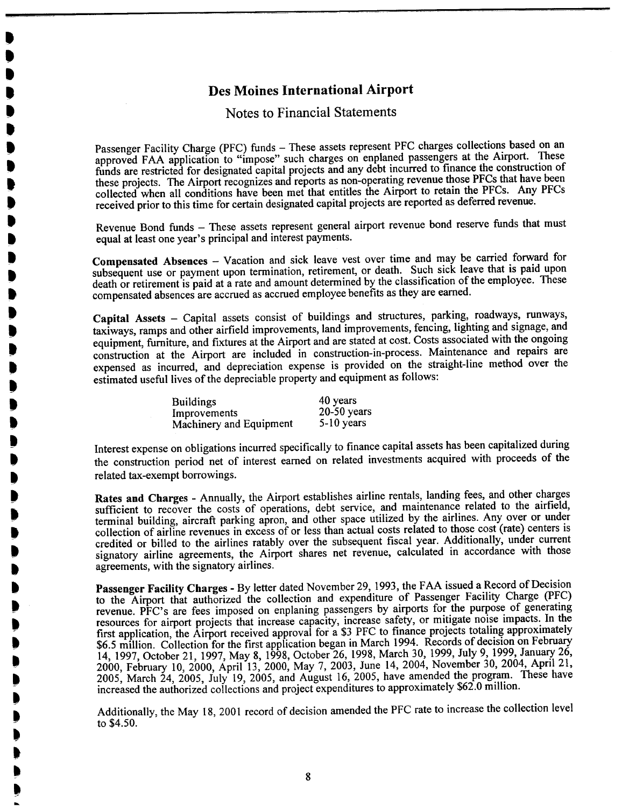. ,<br>! .<br>! **.** .<br>D<br>-.<br>. .<br>! **.** .<br>! .<br>! .<br>! .<br>. .<br>! .<br>. .<br>. .<br>! .<br>. t<br>D .<br>! ,<br>) ,<br>)<br>. .<br>! .<br>)

> I) **.** ,<br>)

I) I) I) t .

> I) I) I) I) I) I) I) I) t .

> > l)

#### Notes to Financial Statements

Passenger Facility Charge (PFC) funds - These assets represent PFC charges collections based on an approved FAA application to "impose" such charges on enplaned passengers at the Airport. These funds are restricted for designated capital projects and any debt incurred to finance the construction of these projects. The Airport recognizes and reports as non-operating revenue those PFCs that have been collected when all conditions have been met that entitles the Airport to retain the PFCs. Any PFCs received prior to this time for certain designated capital projects are reported as deferred revenue.

Revenue Bond funds - These assets represent general airport revenue bond reserve funds that must equal at least one year's principal and interest payments.

Compensated Absences - Vacation and sick leave vest over time and may be carried forward for subsequent use or payment upon termination, retirement, or death. Such sick leave that is paid upon death or retirement is paid at a rate and amount determined by the classification of the employee. These compensated absences are accrued as accrued employee benefits as they are eared.

Capital Assets - Capital assets consist of buildings and structures, parking, roadways, runways, taxiways, ramps and other airfield improvements, land improvements, fencing, lighting and signage, and equipment, furniture, and fixtures at the Airport and are stated at cost. Costs associated with the ongoing construction at the Airport are included in construction-in-process. Maintenance and repairs are expensed as incurred, and depreciation expense is provided on the straight-line method over the estimated useful lives of the depreciable property and equipment as follows:

| <b>Buildings</b>        | 40 years      |
|-------------------------|---------------|
| Improvements            | $20-50$ years |
| Machinery and Equipment | $5-10$ years  |

Interest expense on obligations incurred specifically to finance capital assets has been capitalized during the construction period net of interest earned on related investments acquired with proceeds of the related tax-exempt borrowings.

Rates and Charges - Annually, the Airport establishes airline rentals, landing fees, and other charges sufficient to recover the costs of operations, debt service, and maintenance related to the airfield, terminal building, aircraft parking apron, and other space utilized by the airlines. Any over or under collection of airline revenues in excess of or less than actual costs related to those cost (rate) centers is credited or billed to the airlines ratably over the subsequent fiscal year. Additionally, under current signatory airline agreements, the Airport shares net revenue, calculated in accordance with those agreements, with the signatory airlines.

Passenger Facility Charges - By letter dated November 29, 1993, the FAA issued a Record of Decision to the Airport that authorized the collection and expenditure of Passenger Facility Charge (PFC) revenue. PFC's are fees imposed on enplaning passengers by airports for the purpose of generating resources for airport projects that increase capacity, increase safety, or mitigate noise impacts. In the first application, the Airport received approval for a \$3 PFC to finance projects totaling approximately \$6.5 million. Collection for the first application began in March 1994. Records of decision on February 14, 1997, October 21, 1997, May 8, 1998, October 26, 1998, March 30, 1999, July 9, 1999, January 26, 2000, February 10, 2000, April 13, 2000, May 7, 2003, June 14, 2004, November 30,2004, April 21, 2005, March 24, 2005, July 19, 2005, and August 16, 2005, have amended the program. These have increased the authorized collections and project expenditures to approximately \$62.0 millon.

Additionally, the May 18, 2001 record of decision amended the PFC rate to increase the collection level to \$4.50.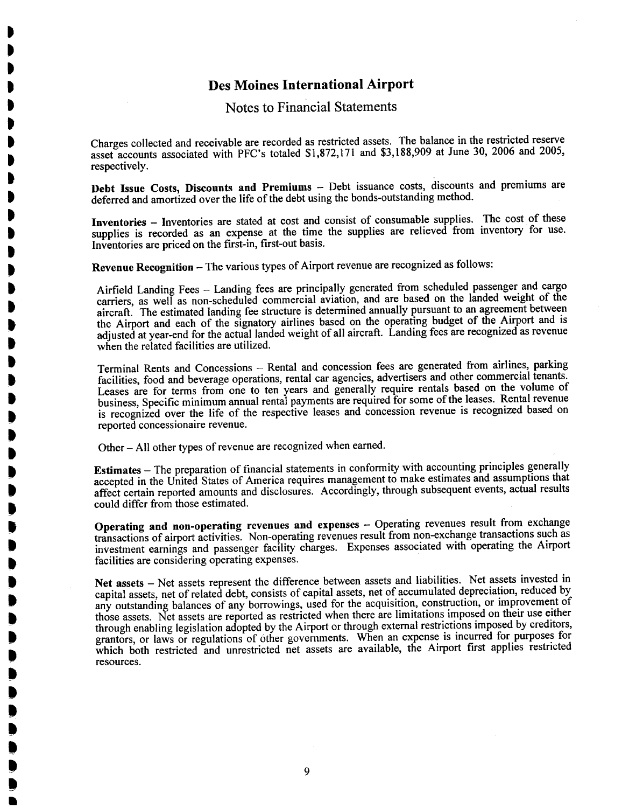t t t . t .<br>D **. .** . . . . . .<br>) . . .<br>. t .<br>. . .<br>) .<br>! .<br>. .<br>) .<br>.<br>. .<br>D ,<br>) ,<br>D .<br>! .<br>. .<br>! .<br>! .<br>. .<br>. ,<br>) ,<br>) .<br>. .<br>! .<br>! ,<br>! .<br>! ,<br>.<br>. .<br>.

#### Notes to Financial Statements

Charges collected and receivable are recorded as restricted assets. The balance in the restricted reserve asset accounts associated with PFC's totaled \$1,872,171 and \$3,188,909 at June 30,2006 and 2005, respectively.

Debt Issue Costs, Discounts and Premiums - Debt issuance costs, discounts and premiums are deferred and amortized over the life of the debt using the bonds-outstading method.

Inventories - Inventories are stated at cost and consist of consumable supplies. The cost of these supplies is recorded as an expense at the time the supplies are relieved from inventory for use. Inventories are priced on the first-in, first-out basis.

Revenue Recognition - The various types of Airport revenue are recognized as follows:

Airfield Landing Fees - Landing fees are principally generated from scheduled passenger and cargo carriers, as well as non-scheduled commercial aviation, and are based on the landed weight of the aircraft. The estimated landing fee structure is determined annually pursuant to an agreement between the Airport and each of the signatory airlines based on the operating budget of the Airport and is adjusted at year-end for the actual landed weight of all aircraft. Landing fees are recognized as revenue when the related facilities are utilized.

Terminal Rents and Concessions - Rental and concession fees are generated from airlines, parking facilties, food and beverage operations, rental car agencies, advertisers and other commercial tenants. Leases are for terms from one to ten years and generally require rentals based on the volume of business, Specific minimum annual rental payments are required for some of the leases. Rental revenue is recognized over the life of the respective leases and concession revenue is recognized based on reported concessionaire revenue.

Other - All other types of revenue are recognized when earned.

Estimates - The preparation of financial statements in conformity with accounting principles generally accepted in the United States of America requires management to make estimates and assumptions that affect certain reported amounts and disclosures. Accordingly, through subsequent events, actual results could differ from those estimated.

Operating and non-operating revenues and expenses - Operating revenues result from exchange transactions of airport activities. Non-operating revenues result from non-exchange transactions such as investment earnings and passenger facility charges. Expenses associated with operating the Airport facilties are considering operating expenses.

Net assets - Net assets represent the difference between assets and liabilities. Net assets invested in capital assets, net of related debt, consists of capital assets, net of accumulated depreciation, reduced by any outstanding balances of any borrowings, used for the acquisition, construction, or improvement of those assets. Net assets are reported as restricted when there are limitations imposed on their use either through enabling legislation adopted by the Airport or through external restrictions imposed by creditors, grantors, or laws or regulations of ôther governments. When an expense is incurred for purposes for which both restricted and unrestricted net assets are available, the Airport first applies restricted resources.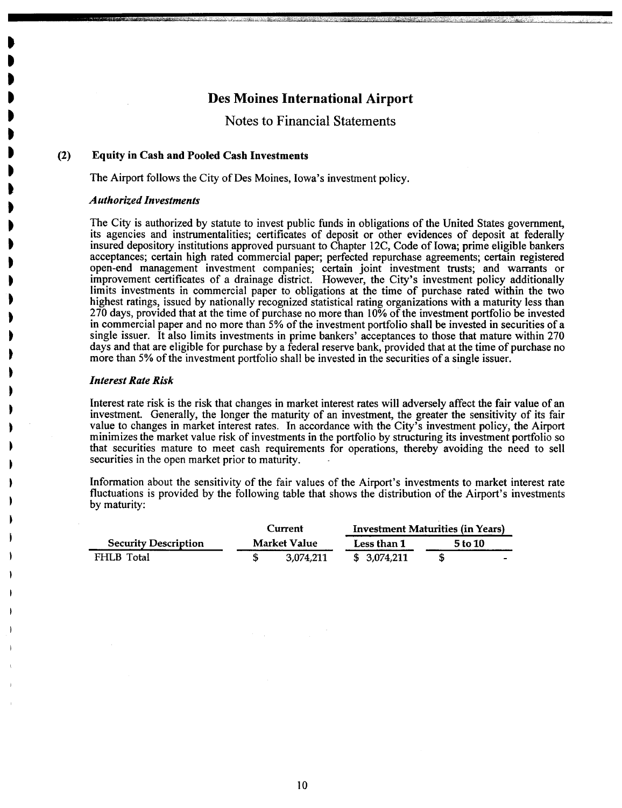**Notes to Financial Statements** 

#### $(2)$ **Equity in Cash and Pooled Cash Investments**

The Airport follows the City of Des Moines, Iowa's investment policy.

#### **Authorized Investments**

The City is authorized by statute to invest public funds in obligations of the United States government, its agencies and instrumentalities; certificates of deposit or other evidences of deposit at federally insured depository institutions approved pursuant to Chapter 12C, Code of Iowa; prime eligible bankers acceptances; certain high rated commercial paper; perfected repurchase agreements; certain registered open-end management investment companies; certain joint investment trusts; and warrants or improvement certificates of a drainage district. However, the City's investment policy additionally limits investments in commercial paper to obligations at the time of purchase rated within the two highest ratings, issued by nationally recognized statistical rating organizations with a maturity less than 270 days, provided that at the time of purchase no more than 10% of the investment portfolio be invested in commercial paper and no more than 5% of the investment portfolio shall be invested in securities of a single issuer. It also limits investments in prime bankers' acceptances to those that mature within 270 days and that are eligible for purchase by a federal reserve bank, provided that at the time of purchase no more than 5% of the investment portfolio shall be invested in the securities of a single issuer.

#### **Interest Rate Risk**

Interest rate risk is the risk that changes in market interest rates will adversely affect the fair value of an investment. Generally, the longer the maturity of an investment, the greater the sensitivity of its fair value to changes in market interest rates. In accordance with the City's investment policy, the Airport minimizes the market value risk of investments in the portfolio by structuring its investment portfolio so that securities mature to meet cash requirements for operations, thereby avoiding the need to sell securities in the open market prior to maturity.

Information about the sensitivity of the fair values of the Airport's investments to market interest rate fluctuations is provided by the following table that shows the distribution of the Airport's investments by maturity:

|                             |              | Current   |              | Investment Maturities (in Years) |         |
|-----------------------------|--------------|-----------|--------------|----------------------------------|---------|
| <b>Security Description</b> | Market Value |           | Less than 1  |                                  | 5 to 10 |
| FHLB Total                  |              | 3.074.211 | \$ 3.074.211 |                                  | -       |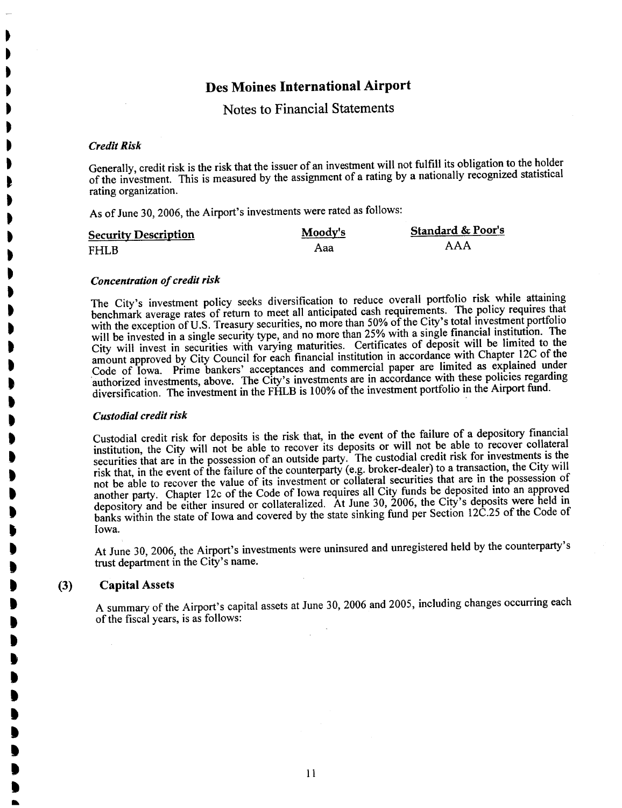Notes to Financial Statements

#### Credit Risk

. . . . . . . . . . . . . . . . . t t . , , , , . . .<br>) . .<br>D . . . .<br>) .<br>D t " " " " " " .<br>) **)** 

Generally, credit risk is the risk that the issuer of an investment will not fulfill its obligation to the holder of the investment. This is measured by the assignment of a rating by a nationally recognized statistical rating organization.

As of June 30, 2006, the Airport's investments were rated as follows:

| <b>Security Description</b> | Moody's | <b>Standard &amp; Poor's</b> |
|-----------------------------|---------|------------------------------|
| <b>FHLB</b>                 | Aaa     | AAA                          |

#### Concentration of credit risk

The City's investment policy seeks diversification to reduce overall portfolio risk while attaining benchmark average rates of return to meet all anticipated cash requirements. The policy requires that with the exception of U.S. Treasury securities, no more than 50% of the City's total investment portfolio will be invested in a single security type, and no more than 25% with a single financial institution. The City will invest in securities with varying maturities. Certificates of deposit will be limited to the amount approved by City Council for each financial institution in accordance with Chapter 12C of the Code of Iowa. Prime bankers' acceptances and commercial paper are limited as explained under authorized investments, above. The City's investments are in accordance with these policies regarding diversification. The investment in the FHLB is 100% of the investment portfolio in the Airport fund.

#### Custodial credit risk

Custodial credit risk for deposits is the risk that, in the event of the failure of a depository financial institution, the City will not be able to recover its deposits or will not be able to recover condition securities that are in the possession of an outside party. The custodial credit risk for investments is the risk that, in the event of the failure of the counterparty (e.g. broker-dealer) to a transaction, the  $\cos\theta$  trans not be able to recover the value of its investment or collateral securities that are in the possession of another party. Chapter 12c of the Code of Iowa requires all City funds be deposited into an approved depository and be either insured or collateralized. At June 30, 2006, the City's deposits were held in banks within the state of Iowa and covered by the state sinking fund per Section 12C.25 of the Code of Iowa.

At June 30, 2006, the Airport's investments were uninsured and unregistered held by the counterparty's trust department in the City's name.

#### (3) Capital Assets

A summary of the Airport's capital assets at June 30, 2006 and 2005, including changes occurring each of the fiscal years, is as follows: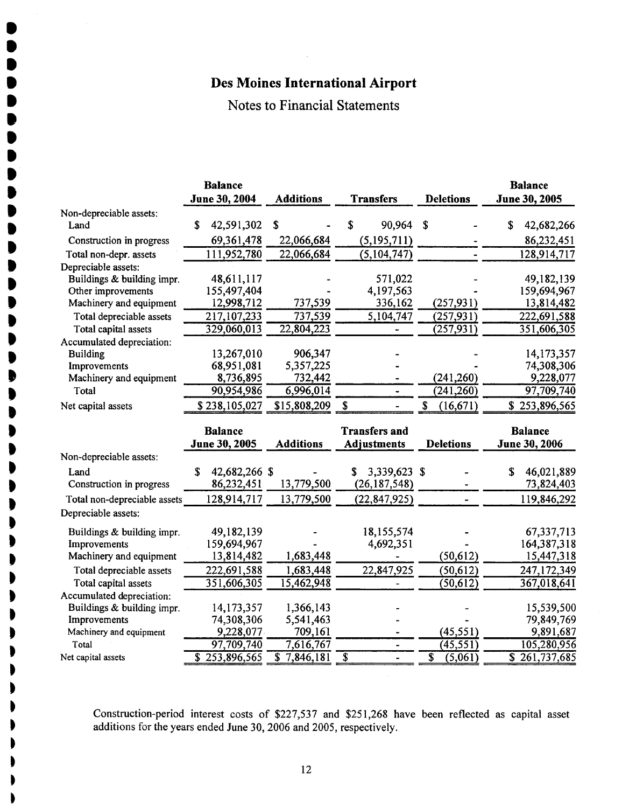. **. .**<br>. **.**<br>. **.**<br>. **. . .** .<br>. **. .**<br>. **. .**<br>. ,<br>) .<br>.<br>. .<br>! ,<br>.<br>. .<br>! .<br>! .<br>! .<br>) .<br>. .<br>) . . **.** t t t **.** . . . . t . . . . . . . .

#### Notes to Financial Statements

|                              | <b>Balance</b>              |                                                   |                      |                                                 | <b>Balance</b>               |
|------------------------------|-----------------------------|---------------------------------------------------|----------------------|-------------------------------------------------|------------------------------|
|                              | June 30, 2004               | <b>Additions</b>                                  | <b>Transfers</b>     | <b>Deletions</b>                                | June 30, 2005                |
| Non-depreciable assets:      |                             |                                                   |                      |                                                 |                              |
| Land                         | \$<br>42,591,302            | \$                                                | \$<br>90,964         | \$                                              | 42,682,266<br>\$             |
| Construction in progress     | 69,361,478                  | 22,066,684                                        | (5, 195, 711)        |                                                 | 86,232,451                   |
| Total non-depr. assets       | 111,952,780                 | 22,066,684                                        | (5, 104, 747)        |                                                 | 128,914,717                  |
| Depreciable assets:          |                             |                                                   |                      |                                                 |                              |
| Buildings & building impr.   | 48,611,117                  |                                                   | 571,022              |                                                 | 49,182,139                   |
| Other improvements           | 155,497,404                 |                                                   | 4,197,563            |                                                 | 159,694,967                  |
| Machinery and equipment      | 12,998,712                  | 737,539                                           | 336,162              | (257, 931)                                      | 13,814,482                   |
| Total depreciable assets     | 217,107,233                 | 737,539                                           | 5,104,747            | (257, 931)                                      | 222,691,588                  |
| Total capital assets         | 329,060,013                 | 22,804,223                                        |                      | (257, 931)                                      | 351,606,305                  |
| Accumulated depreciation:    |                             |                                                   |                      |                                                 |                              |
| <b>Building</b>              | 13,267,010                  | 906,347                                           |                      |                                                 | 14,173,357                   |
| Improvements                 | 68,951,081                  | 5,357,225                                         |                      |                                                 | 74,308,306                   |
| Machinery and equipment      | 8,736,895                   | 732,442                                           |                      | (241, 260)                                      | 9,228,077                    |
| Total                        | 90,954,986                  | 6,996,014                                         |                      | (241, 260)                                      | 97,709,740                   |
| Net capital assets           | \$238,105,027               | \$15,808,209                                      | \$                   | \$<br>(16, 671)                                 | \$253,896,565                |
|                              |                             |                                                   |                      |                                                 |                              |
|                              |                             |                                                   |                      |                                                 |                              |
|                              | <b>Balance</b>              |                                                   | <b>Transfers and</b> |                                                 | <b>Balance</b>               |
|                              | June 30, 2005               | <b>Additions</b>                                  | <b>Adjustments</b>   | <b>Deletions</b>                                | June 30, 2006                |
| Non-depreciable assets:      |                             |                                                   |                      |                                                 |                              |
| Land                         | S<br>42,682,266 \$          |                                                   | 3,339,623 \$         |                                                 | \$<br>46,021,889             |
| Construction in progress     | 86,232,451                  | 13,779,500                                        | (26, 187, 548)       |                                                 | 73,824,403                   |
| Total non-depreciable assets | 128,914,717                 | 13,779,500                                        | (22, 847, 925)       |                                                 | 119,846,292                  |
| Depreciable assets:          |                             |                                                   |                      |                                                 |                              |
| Buildings & building impr.   | 49,182,139                  |                                                   | 18,155,574           |                                                 | 67,337,713                   |
| Improvements                 | 159,694,967                 |                                                   | 4,692,351            |                                                 | 164,387,318                  |
| Machinery and equipment      | 13,814,482                  | 1,683,448                                         |                      | (50, 612)                                       | 15,447,318                   |
| Total depreciable assets     | 222,691,588                 | 1,683,448                                         | 22,847,925           | (50, 612)                                       | 247,172,349                  |
| Total capital assets         | 351,606,305                 | 15,462,948                                        |                      | (50, 612)                                       | 367,018,641                  |
| Accumulated depreciation:    |                             |                                                   |                      |                                                 |                              |
| Buildings & building impr.   | 14,173,357                  | 1,366,143                                         |                      |                                                 | 15,539,500                   |
| Improvements                 | 74,308,306                  | 5,541,463                                         |                      |                                                 | 79,849,769                   |
| Machinery and equipment      | 9,228,077                   | 709,161                                           |                      | (45, 551)                                       | 9,891,687                    |
| Total<br>Net capital assets  | 97,709,740<br>\$253,896,565 | 7,616,767<br>$\overline{\mathbf{s}}$<br>7,846,181 | $\overline{\$}$      | (45, 551)<br>$\overline{\mathbb{s}}$<br>(5,061) | 105,280,956<br>\$261,737,685 |

Construction-period interest costs of \$227,537 and \$251,268 have been reflected as capital asset additions for the years ended June 30, 2006 and 2005, respectively.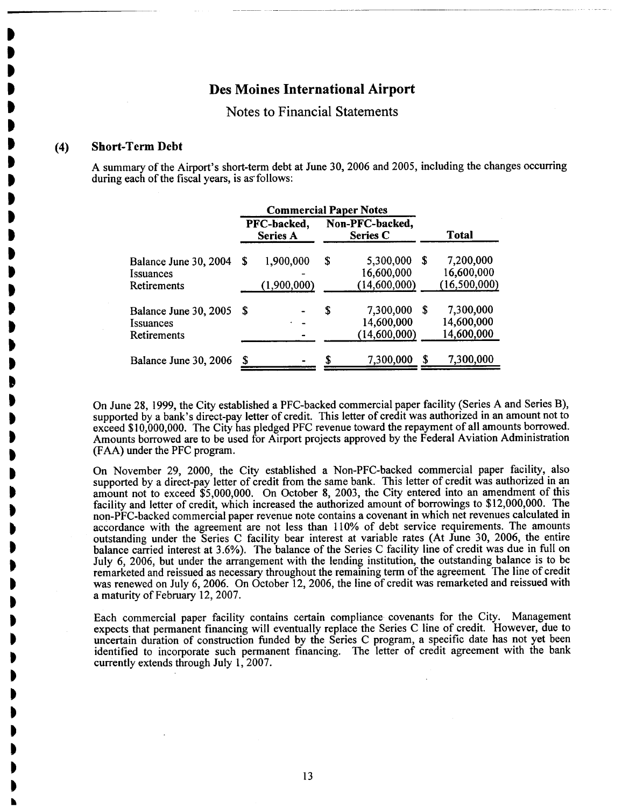Notes to Financial Statements

#### (4) Short-Term Debt

t t j<br>D t t . .<br>D **.** . . .<br>) . . .<br>) . . . t **.** . **.** . . . . . .

> ~ . . . . . . . . . . . . . . .

A summary of the Airport's short-term debt at June 30, 2006 and 2005, including the changes occurring during each of the fiscal years, is as follows:

|                                                                        | <b>Commercial Paper Notes</b> |                                |    |                                         |   |                                           |
|------------------------------------------------------------------------|-------------------------------|--------------------------------|----|-----------------------------------------|---|-------------------------------------------|
|                                                                        |                               | PFC-backed,<br><b>Series A</b> |    | Non-PFC-backed,<br><b>Series C</b>      |   | Total                                     |
| Balance June 30, 2004<br><i><u><b>Issuances</b></u></i><br>Retirements | S                             | 1,900,000<br>(1,900,000)       | S  | 5,300,000<br>16,600,000<br>(14,600,000) | S | 7,200,000<br>16,600,000<br>(16, 500, 000) |
| Balance June 30, 2005<br><i>Issuances</i><br>Retirements               | S                             |                                | \$ | 7,300,000<br>14,600,000<br>(14,600,000) | S | 7,300,000<br>14,600,000<br>14,600,000     |
| Balance June 30, 2006                                                  |                               |                                |    | 7,300,000                               | S | 7,300,000                                 |

On June 28, i 999, the City established a PFC-backed commercial paper facility (Series A and Series B), supported by a bank's direct-pay letter of credit. This letter of credit was authorized in an amount not to exceed \$10,000,000. The City has pledged PFC revenue toward the repayment of all amounts borrowed. Amounts borrowed are to be used for Airport projects approved by the Federal Aviation Administration (FAA) under the PFC program.

On November 29, 2000, the City established a Non-PFC-backed commercial paper facilty, also supported by a direct-pay letter of credit from the same bank. This letter of credit was authorized in an amount not to exceed \$5,000,000. On October 8, 2003, the City entered into an amendment of this facilty and letter of credit, which increased the authorized amount of borrowings to \$12,000,000. The non-PFC-backed commercial paper revenue note contains a covenant in which net revenues calculated in accordance with the agreement are not less than 110% of debt service requirements. The amounts outstanding under the Series C facility bear interest at variable rates (At June 30, 2006, the entire balance carried interest at 3.6%). The balance of the Series C facility line of credit was due in full on July 6, 2006, but under the arangement with the lending institution, the outstanding balance is to be remarketed and reissued as necessary throughout the remaining term of the agreement. The line of credit was renewed on July 6,2006. On October 12, 2006, the line of credit was remarketed and reissued with a maturity of February 12,2007.

Each commercial paper facilty contains certain compliance covenants for the City. Management expects that permanent financing will eventually replace the Series C line of credit. However, due to uncertain duration of construction funded by the Series C program, a specific date has not yet been identified to incorporate such permanent financing. The letter of credit agreement with the bank currently extends through July 1, 2007.